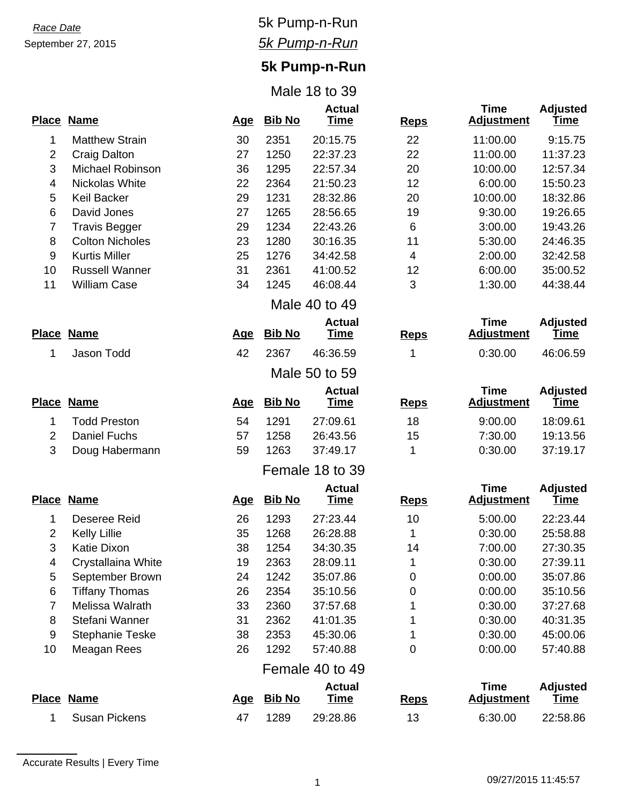# September 27, 2015

### *Race Date* 5k Pump-n-Run *5k Pump-n-Run*

## **5k Pump-n-Run**

#### Male 18 to 39

| <b>Place</b>    | <b>Name</b>             | <u>Age</u> | <b>Bib No</b> | <b>Actual</b><br><b>Time</b> | <b>Reps</b>              | <b>Time</b><br><b>Adjustment</b> | <b>Adjusted</b><br>Ťime        |  |  |  |  |
|-----------------|-------------------------|------------|---------------|------------------------------|--------------------------|----------------------------------|--------------------------------|--|--|--|--|
| 1               | <b>Matthew Strain</b>   | 30         | 2351          | 20:15.75                     | 22                       | 11:00.00                         | 9:15.75                        |  |  |  |  |
| $\overline{2}$  | <b>Craig Dalton</b>     | 27         | 1250          | 22:37.23                     | 22                       | 11:00.00                         | 11:37.23                       |  |  |  |  |
| 3               | <b>Michael Robinson</b> | 36         | 1295          | 22:57.34                     | 20                       | 10:00.00                         | 12:57.34                       |  |  |  |  |
| 4               | Nickolas White          | 22         | 2364          | 21:50.23                     | 12                       | 6:00.00                          | 15:50.23                       |  |  |  |  |
| 5               | Keil Backer             | 29         | 1231          | 28:32.86                     | 20                       | 10:00.00                         | 18:32.86                       |  |  |  |  |
| 6               | David Jones             | 27         | 1265          | 28:56.65                     | 19                       | 9:30.00                          | 19:26.65                       |  |  |  |  |
| 7               | <b>Travis Begger</b>    | 29         | 1234          | 22:43.26                     | 6                        | 3:00.00                          | 19:43.26                       |  |  |  |  |
| 8               | <b>Colton Nicholes</b>  | 23         | 1280          | 30:16.35                     | 11                       | 5:30.00                          | 24:46.35                       |  |  |  |  |
| 9               | <b>Kurtis Miller</b>    | 25         | 1276          | 34:42.58                     | $\overline{\mathcal{A}}$ | 2:00.00                          | 32:42.58                       |  |  |  |  |
| 10              | <b>Russell Wanner</b>   | 31         | 2361          | 41:00.52                     | 12                       | 6:00.00                          | 35:00.52                       |  |  |  |  |
| 11              | <b>William Case</b>     | 34         | 1245          | 46:08.44                     | 3                        | 1:30.00                          | 44:38.44                       |  |  |  |  |
|                 |                         |            |               | Male 40 to 49                |                          |                                  |                                |  |  |  |  |
|                 | Place Name              | <u>Age</u> | <b>Bib No</b> | <b>Actual</b><br><b>Time</b> | <b>Reps</b>              | <b>Time</b><br><b>Adjustment</b> | <b>Adjusted</b><br><u>Time</u> |  |  |  |  |
| 1               | Jason Todd              | 42         | 2367          | 46:36.59                     | 1                        | 0:30.00                          | 46:06.59                       |  |  |  |  |
| Male 50 to 59   |                         |            |               |                              |                          |                                  |                                |  |  |  |  |
|                 | Place Name              | <u>Age</u> | <b>Bib No</b> | <b>Actual</b><br><u>Time</u> | <b>Reps</b>              | <b>Time</b><br><b>Adjustment</b> | <b>Adjusted</b><br><u>Time</u> |  |  |  |  |
| 1               | <b>Todd Preston</b>     | 54         | 1291          | 27:09.61                     | 18                       | 9:00.00                          | 18:09.61                       |  |  |  |  |
| $\overline{2}$  | <b>Daniel Fuchs</b>     | 57         | 1258          | 26:43.56                     | 15                       | 7:30.00                          | 19:13.56                       |  |  |  |  |
| 3               | Doug Habermann          | 59         | 1263          | 37:49.17                     | 1                        | 0:30.00                          | 37:19.17                       |  |  |  |  |
|                 |                         |            |               | Female 18 to 39              |                          |                                  |                                |  |  |  |  |
|                 |                         |            |               | <b>Actual</b>                |                          | <b>Time</b>                      | <b>Adjusted</b>                |  |  |  |  |
|                 | Place Name              | <u>Age</u> | <b>Bib No</b> | <u>Time</u>                  | <b>Reps</b>              | <b>Adjustment</b>                | <u>Time</u>                    |  |  |  |  |
| 1               | Deseree Reid            | 26         | 1293          | 27:23.44                     | 10                       | 5:00.00                          | 22:23.44                       |  |  |  |  |
| $\overline{2}$  | <b>Kelly Lillie</b>     | 35         | 1268          | 26:28.88                     | 1                        | 0:30.00                          | 25:58.88                       |  |  |  |  |
| 3               | <b>Katie Dixon</b>      | 38         | 1254          | 34:30.35                     | 14                       | 7:00.00                          | 27:30.35                       |  |  |  |  |
| 4               | Crystallaina White      | 19         | 2363          | 28:09.11                     | 1                        | 0:30.00                          | 27:39.11                       |  |  |  |  |
| 5               | September Brown         | 24         | 1242          | 35:07.86                     | 0                        | 0:00.00                          | 35:07.86                       |  |  |  |  |
| 6               | <b>Tiffany Thomas</b>   | 26         | 2354          | 35:10.56                     | 0                        | 0:00.00                          | 35:10.56                       |  |  |  |  |
| 7               | Melissa Walrath         | 33         | 2360          | 37:57.68                     |                          | 0:30.00                          | 37:27.68                       |  |  |  |  |
| 8               | Stefani Wanner          | 31         | 2362          | 41:01.35                     |                          | 0:30.00                          | 40:31.35                       |  |  |  |  |
| 9               | <b>Stephanie Teske</b>  | 38         | 2353          | 45:30.06                     |                          | 0:30.00                          | 45:00.06                       |  |  |  |  |
| 10              | Meagan Rees             | 26         | 1292          | 57:40.88                     | 0                        | 0:00.00                          | 57:40.88                       |  |  |  |  |
| Female 40 to 49 |                         |            |               |                              |                          |                                  |                                |  |  |  |  |
|                 | Place Name              | <u>Age</u> | <b>Bib No</b> | <b>Actual</b><br><b>Time</b> | <b>Reps</b>              | <b>Time</b><br><b>Adjustment</b> | <b>Adjusted</b><br><b>Time</b> |  |  |  |  |
| 1               | <b>Susan Pickens</b>    | 47         | 1289          | 29:28.86                     | 13                       | 6:30.00                          | 22:58.86                       |  |  |  |  |